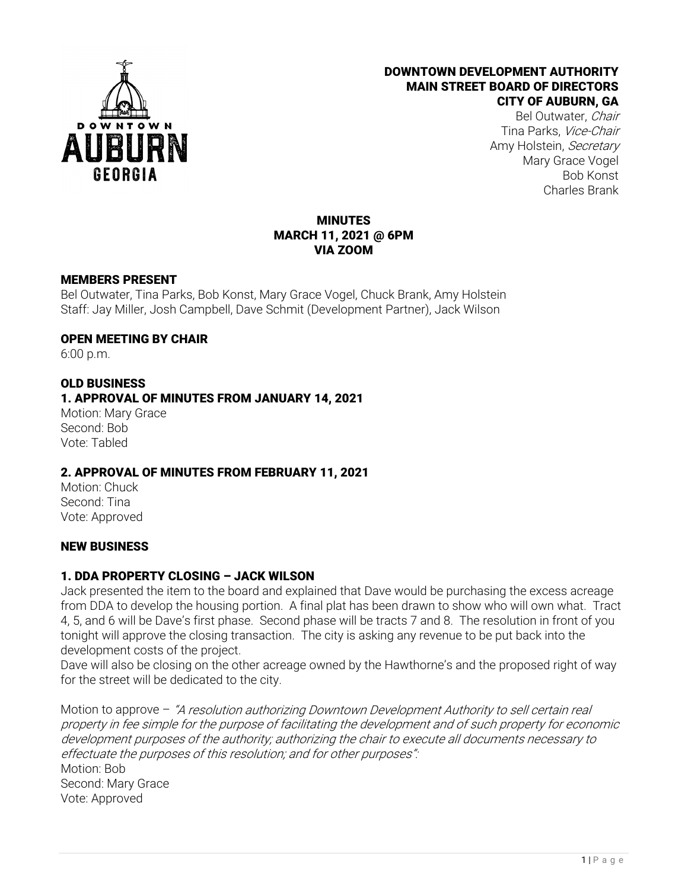

#### DOWNTOWN DEVELOPMENT AUTHORITY MAIN STREET BOARD OF DIRECTORS CITY OF AUBURN, GA

Bel Outwater, Chair Tina Parks, Vice-Chair Amy Holstein, Secretary Mary Grace Vogel Bob Konst Charles Brank

## MINUTES MARCH 11, 2021 @ 6PM VIA ZOOM

### MEMBERS PRESENT

Bel Outwater, Tina Parks, Bob Konst, Mary Grace Vogel, Chuck Brank, Amy Holstein Staff: Jay Miller, Josh Campbell, Dave Schmit (Development Partner), Jack Wilson

### OPEN MEETING BY CHAIR

6:00 p.m.

## OLD BUSINESS

## 1. APPROVAL OF MINUTES FROM JANUARY 14, 2021

Motion: Mary Grace Second: Bob Vote: Tabled

### 2. APPROVAL OF MINUTES FROM FEBRUARY 11, 2021

Motion: Chuck Second: Tina Vote: Approved

### NEW BUSINESS

# 1. DDA PROPERTY CLOSING – JACK WILSON

Jack presented the item to the board and explained that Dave would be purchasing the excess acreage from DDA to develop the housing portion. A final plat has been drawn to show who will own what. Tract 4, 5, and 6 will be Dave's first phase. Second phase will be tracts 7 and 8. The resolution in front of you tonight will approve the closing transaction. The city is asking any revenue to be put back into the development costs of the project.

Dave will also be closing on the other acreage owned by the Hawthorne's and the proposed right of way for the street will be dedicated to the city.

Motion to approve - "A resolution authorizing Downtown Development Authority to sell certain real property in fee simple for the purpose of facilitating the development and of such property for economic development purposes of the authority; authorizing the chair to execute all documents necessary to effectuate the purposes of this resolution; and for other purposes": Motion: Bob Second: Mary Grace Vote: Approved